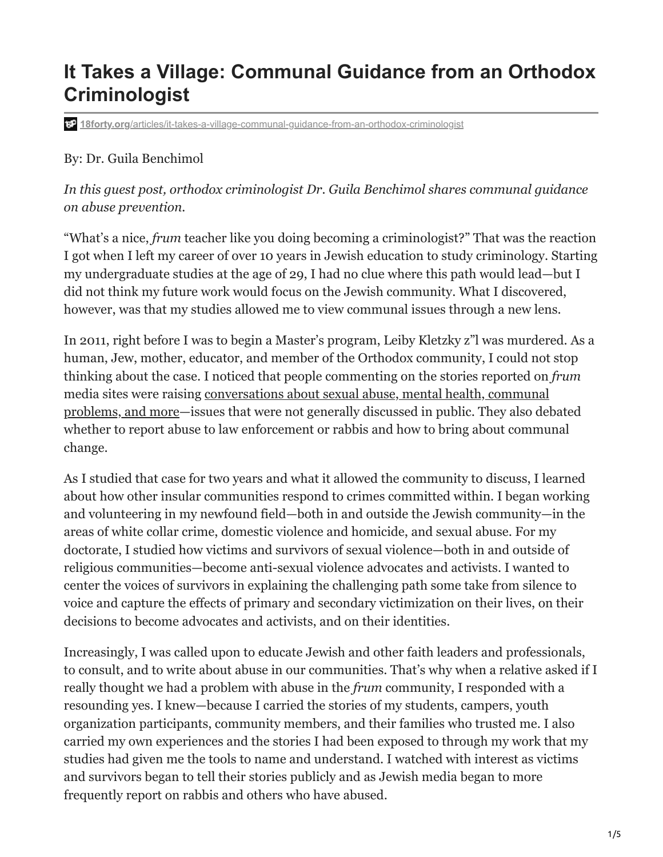## **It Takes a Village: Communal Guidance from an Orthodox Criminologist**

**18forty.org**[/articles/it-takes-a-village-communal-guidance-from-an-orthodox-criminologist](https://18forty.org/articles/it-takes-a-village-communal-guidance-from-an-orthodox-criminologist/)

## By: Dr. Guila Benchimol

*In this guest post, orthodox criminologist Dr. Guila Benchimol shares communal guidance on abuse prevention.* 

"What's a nice, *frum* teacher like you doing becoming a criminologist?" That was the reaction I got when I left my career of over 10 years in Jewish education to study criminology. Starting my undergraduate studies at the age of 29, I had no clue where this path would lead—but I did not think my future work would focus on the Jewish community. What I discovered, however, was that my studies allowed me to view communal issues through a new lens.

In 2011, right before I was to begin a Master's program, Leiby Kletzky z"l was murdered. As a human, Jew, mother, educator, and member of the Orthodox community, I could not stop thinking about the case. I noticed that people commenting on the stories reported on *frum* media sites were raising conversations about sexual abuse, mental health, communal [problems, and more—issues that were not generally discussed in public. They also deb](https://blogs.timesofisrael.com/what-we-talk-about-when-we-talk-about-crime/)ated whether to report abuse to law enforcement or rabbis and how to bring about communal change.

As I studied that case for two years and what it allowed the community to discuss, I learned about how other insular communities respond to crimes committed within. I began working and volunteering in my newfound field—both in and outside the Jewish community—in the areas of white collar crime, domestic violence and homicide, and sexual abuse. For my doctorate, I studied how victims and survivors of sexual violence—both in and outside of religious communities—become anti-sexual violence advocates and activists. I wanted to center the voices of survivors in explaining the challenging path some take from silence to voice and capture the effects of primary and secondary victimization on their lives, on their decisions to become advocates and activists, and on their identities.

Increasingly, I was called upon to educate Jewish and other faith leaders and professionals, to consult, and to write about abuse in our communities. That's why when a relative asked if I really thought we had a problem with abuse in the *frum* community, I responded with a resounding yes. I knew—because I carried the stories of my students, campers, youth organization participants, community members, and their families who trusted me. I also carried my own experiences and the stories I had been exposed to through my work that my studies had given me the tools to name and understand. I watched with interest as victims and survivors began to tell their stories publicly and as Jewish media began to more frequently report on rabbis and others who have abused.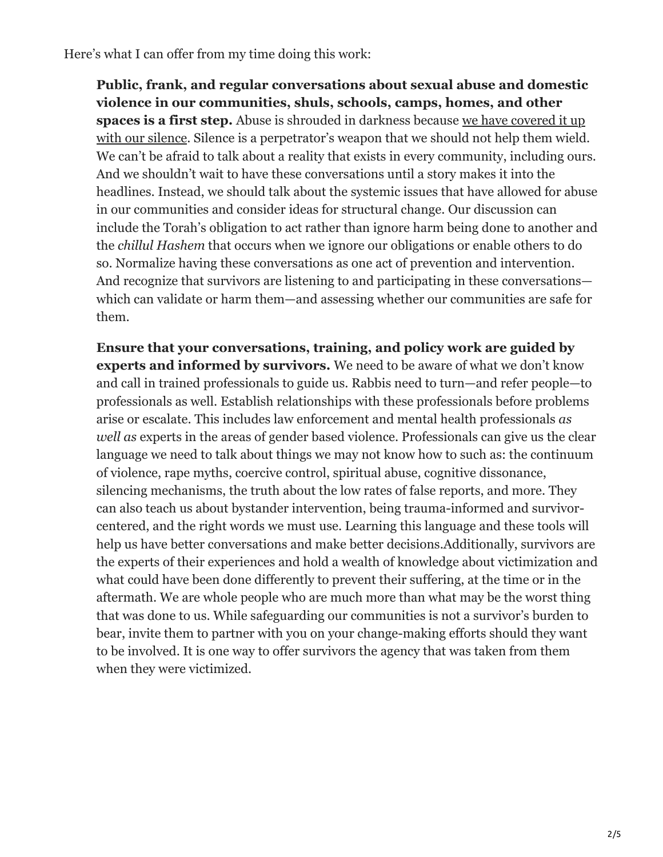Here's what I can offer from my time doing this work:

**Public, frank, and regular conversations about sexual abuse and domestic violence in our communities, shuls, schools, camps, homes, and other spaces is a first step.** Abuse is shrouded in darkness because we have covered it up [with our silence. Silence is a perpetrator's weapon that we should not help them wield](https://www.huffpost.com/archive/ca/entry/we-all-helped-build-the-wall-of-silence-around-victims-of-sexual-assault_a_23304277). We can't be afraid to talk about a reality that exists in every community, including ours. And we shouldn't wait to have these conversations until a story makes it into the headlines. Instead, we should talk about the systemic issues that have allowed for abuse in our communities and consider ideas for structural change. Our discussion can include the Torah's obligation to act rather than ignore harm being done to another and the *chillul Hashem* that occurs when we ignore our obligations or enable others to do so. Normalize having these conversations as one act of prevention and intervention. And recognize that survivors are listening to and participating in these conversations which can validate or harm them—and assessing whether our communities are safe for them.

**Ensure that your conversations, training, and policy work are guided by experts and informed by survivors.** We need to be aware of what we don't know and call in trained professionals to guide us. Rabbis need to turn—and refer people—to professionals as well. Establish relationships with these professionals before problems arise or escalate. This includes law enforcement and mental health professionals *as well as* experts in the areas of gender based violence. Professionals can give us the clear language we need to talk about things we may not know how to such as: the continuum of violence, rape myths, coercive control, spiritual abuse, cognitive dissonance, silencing mechanisms, the truth about the low rates of false reports, and more. They can also teach us about bystander intervention, being trauma-informed and survivorcentered, and the right words we must use. Learning this language and these tools will help us have better conversations and make better decisions.Additionally, survivors are the experts of their experiences and hold a wealth of knowledge about victimization and what could have been done differently to prevent their suffering, at the time or in the aftermath. We are whole people who are much more than what may be the worst thing that was done to us. While safeguarding our communities is not a survivor's burden to bear, invite them to partner with you on your change-making efforts should they want to be involved. It is one way to offer survivors the agency that was taken from them when they were victimized.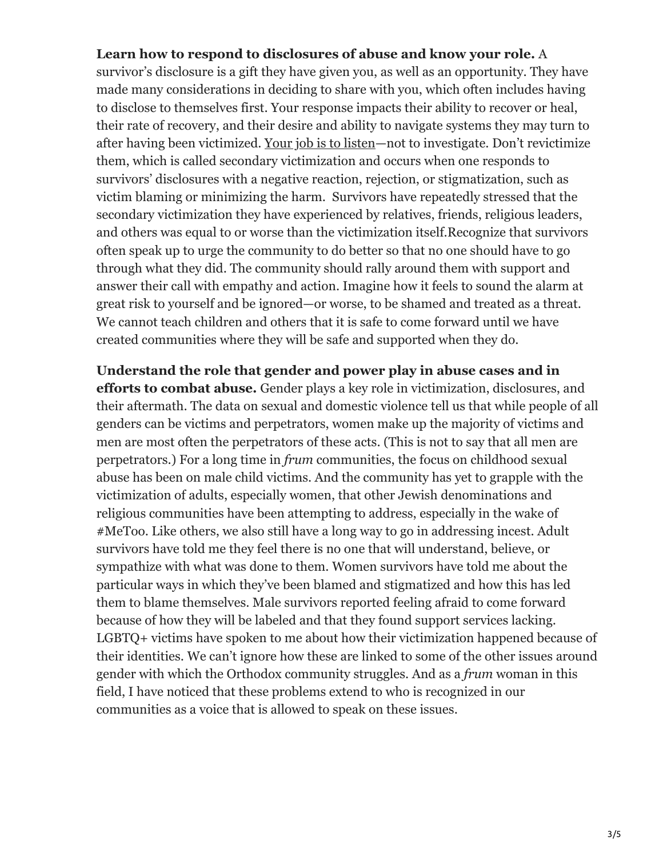## **Learn how to respond to disclosures of abuse and know your role.** A

survivor's disclosure is a gift they have given you, as well as an opportunity. They have made many considerations in deciding to share with you, which often includes having to disclose to themselves first. Your response impacts their ability to recover or heal, their rate of recovery, and their desire and ability to navigate systems they may turn to after having been victimized. [Your job is to listen](https://srenetwork.org/resources/)—not to investigate. Don't revictimize them, which is called secondary victimization and occurs when one responds to survivors' disclosures with a negative reaction, rejection, or stigmatization, such as victim blaming or minimizing the harm. Survivors have repeatedly stressed that the secondary victimization they have experienced by relatives, friends, religious leaders, and others was equal to or worse than the victimization itself.Recognize that survivors often speak up to urge the community to do better so that no one should have to go through what they did. The community should rally around them with support and answer their call with empathy and action. Imagine how it feels to sound the alarm at great risk to yourself and be ignored—or worse, to be shamed and treated as a threat. We cannot teach children and others that it is safe to come forward until we have created communities where they will be safe and supported when they do.

**Understand the role that gender and power play in abuse cases and in efforts to combat abuse.** Gender plays a key role in victimization, disclosures, and their aftermath. The data on sexual and domestic violence tell us that while people of all genders can be victims and perpetrators, women make up the majority of victims and men are most often the perpetrators of these acts. (This is not to say that all men are perpetrators.) For a long time in *frum* communities, the focus on childhood sexual abuse has been on male child victims. And the community has yet to grapple with the victimization of adults, especially women, that other Jewish denominations and religious communities have been attempting to address, especially in the wake of #MeToo. Like others, we also still have a long way to go in addressing incest. Adult survivors have told me they feel there is no one that will understand, believe, or sympathize with what was done to them. Women survivors have told me about the particular ways in which they've been blamed and stigmatized and how this has led them to blame themselves. Male survivors reported feeling afraid to come forward because of how they will be labeled and that they found support services lacking. LGBTQ+ victims have spoken to me about how their victimization happened because of their identities. We can't ignore how these are linked to some of the other issues around gender with which the Orthodox community struggles. And as a *frum* woman in this field, I have noticed that these problems extend to who is recognized in our communities as a voice that is allowed to speak on these issues.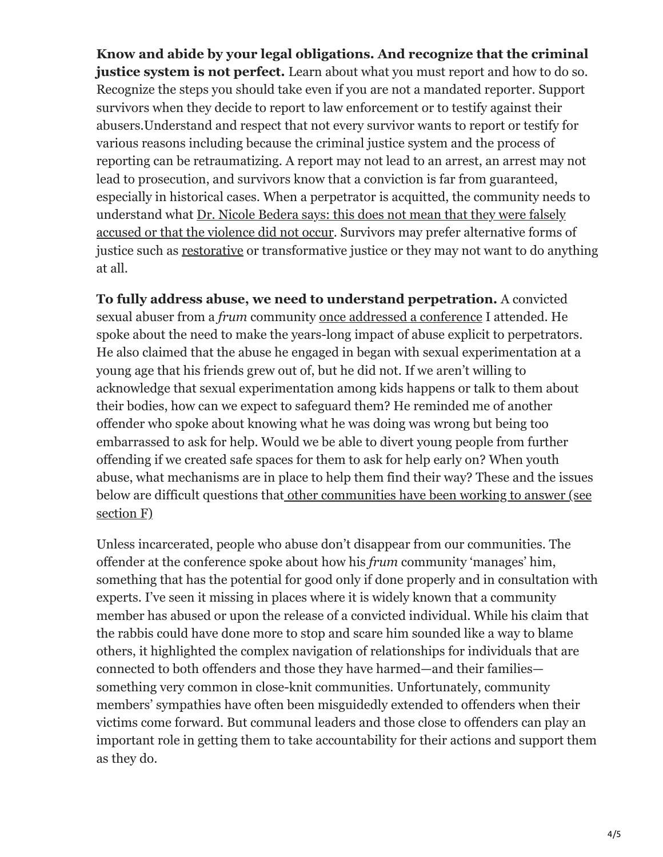**Know and abide by your legal obligations. And recognize that the criminal justice system is not perfect.** Learn about what you must report and how to do so. Recognize the steps you should take even if you are not a mandated reporter. Support survivors when they decide to report to law enforcement or to testify against their abusers.Understand and respect that not every survivor wants to report or testify for various reasons including because the criminal justice system and the process of reporting can be retraumatizing. A report may not lead to an arrest, an arrest may not lead to prosecution, and survivors know that a conviction is far from guaranteed, especially in historical cases. When a perpetrator is acquitted, the community needs to understand what Dr. Nicole Bedera says: this does not mean that they were falsely [accused or that the violence did not occur. Survivors may prefer alternative forms o](https://twitter.com/NBedera/status/1524126797293506560?s=20&t=sVEKiigYTgjr1svCssx-gA)f justice such as [restorative](https://ejewishphilanthropy.com/restorative-justice-and-teshuva-following-sexual-misconduct/) or transformative justice or they may not want to do anything at all.

**To fully address abuse, we need to understand perpetration.** A convicted sexual abuser from a *frum* community [once addressed a conference](https://blogs.timesofisrael.com/what-i-learned-from-a-convicted-sex-offender/) I attended. He spoke about the need to make the years-long impact of abuse explicit to perpetrators. He also claimed that the abuse he engaged in began with sexual experimentation at a young age that his friends grew out of, but he did not. If we aren't willing to acknowledge that sexual experimentation among kids happens or talk to them about their bodies, how can we expect to safeguard them? He reminded me of another offender who spoke about knowing what he was doing was wrong but being too embarrassed to ask for help. Would we be able to divert young people from further offending if we created safe spaces for them to ask for help early on? When youth abuse, what mechanisms are in place to help them find their way? These and the issues below are difficult questions that [other communities have been working to answer \(see](https://www.zeroabuseproject.org/menlo-church-assessment-final-report/) section F)

Unless incarcerated, people who abuse don't disappear from our communities. The offender at the conference spoke about how his *frum* community 'manages' him, something that has the potential for good only if done properly and in consultation with experts. I've seen it missing in places where it is widely known that a community member has abused or upon the release of a convicted individual. While his claim that the rabbis could have done more to stop and scare him sounded like a way to blame others, it highlighted the complex navigation of relationships for individuals that are connected to both offenders and those they have harmed—and their families something very common in close-knit communities. Unfortunately, community members' sympathies have often been misguidedly extended to offenders when their victims come forward. But communal leaders and those close to offenders can play an important role in getting them to take accountability for their actions and support them as they do.